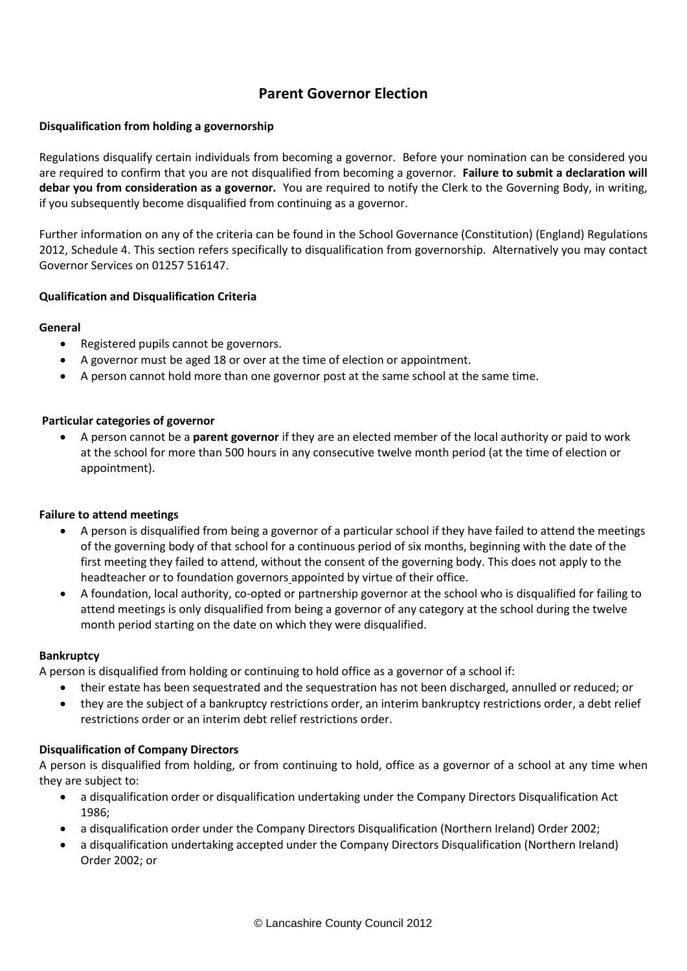# **Parent Governor Election**

## **Disqualification from holding a governorship**

Regulations disqualify certain individuals from becoming a governor. Before your nomination can be considered you are required to confirm that you are not disqualified from becoming a governor. **Failure to submit a declaration will debar you from consideration as a governor.** You are required to notify the Clerk to the Governing Body, in writing, if you subsequently become disqualified from continuing as a governor.

Further information on any of the criteria can be found in the School Governance (Constitution) (England) Regulations 2012, Schedule 4. This section refers specifically to disqualification from governorship. Alternatively you may contact Governor Services on 01257 516147.

## **Qualification and Disqualification Criteria**

#### **General**

- Registered pupils cannot be governors.
- A governor must be aged 18 or over at the time of election or appointment.
- A person cannot hold more than one governor post at the same school at the same time.

## **Particular categories of governor**

• A person cannot be a **parent governor** if they are an elected member of the local authority or paid to work at the school for more than 500 hours in any consecutive twelve month period (at the time of election or appointment).

#### **Failure to attend meetings**

- A person is disqualified from being a governor of a particular school if they have failed to attend the meetings of the governing body of that school for a continuous period of six months, beginning with the date of the first meeting they failed to attend, without the consent of the governing body. This does not apply to the headteacher or to foundation governors appointed by virtue of their office.
- A foundation, local authority, co-opted or partnership governor at the school who is disqualified for failing to attend meetings is only disqualified from being a governor of any category at the school during the twelve month period starting on the date on which they were disqualified.

#### **Bankruptcy**

A person is disqualified from holding or continuing to hold office as a governor of a school if:

- their estate has been sequestrated and the sequestration has not been discharged, annulled or reduced; or
- they are the subject of a bankruptcy restrictions order, an interim bankruptcy restrictions order, a debt relief restrictions order or an interim debt relief restrictions order.

# **Disqualification of Company Directors**

A person is disqualified from holding, or from continuing to hold, office as a governor of a school at any time when they are subject to:

- a disqualification order or disqualification undertaking under the Company Directors Disqualification Act 1986;
- a disqualification order under the Company Directors Disqualification (Northern Ireland) Order 2002;
- a disqualification undertaking accepted under the Company Directors Disqualification (Northern Ireland) Order 2002; or